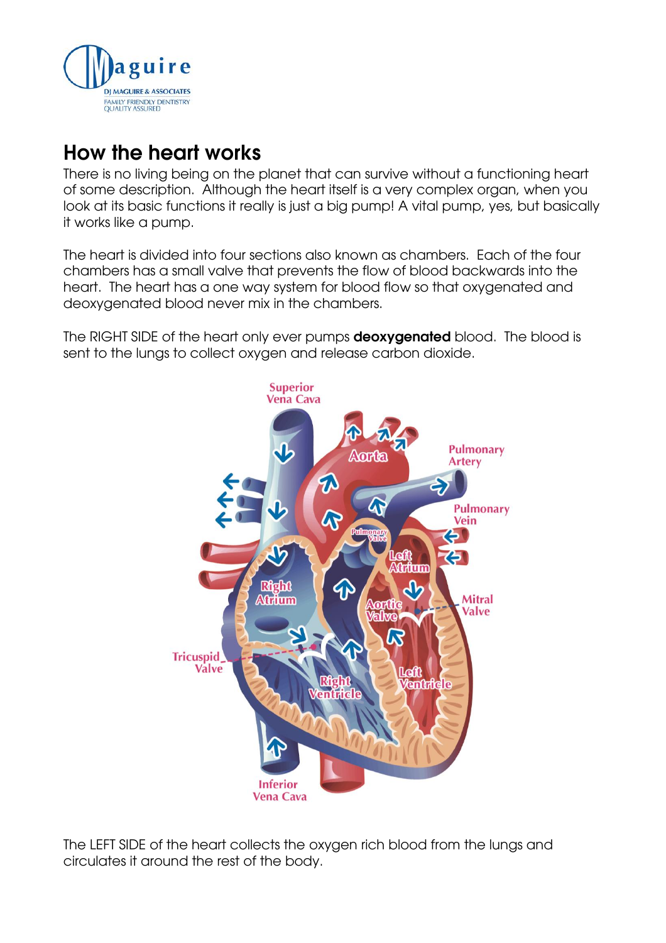

## **How the heart works**

There is no living being on the planet that can survive without a functioning heart of some description. Although the heart itself is a very complex organ, when you look at its basic functions it really is just a big pump! A vital pump, yes, but basically it works like a pump.

The heart is divided into four sections also known as chambers. Each of the four chambers has a small valve that prevents the flow of blood backwards into the heart. The heart has a one way system for blood flow so that oxygenated and deoxygenated blood never mix in the chambers.

The RIGHT SIDE of the heart only ever pumps **deoxygenated** blood. The blood is sent to the lungs to collect oxygen and release carbon dioxide.



The LEFT SIDE of the heart collects the oxygen rich blood from the lungs and circulates it around the rest of the body.